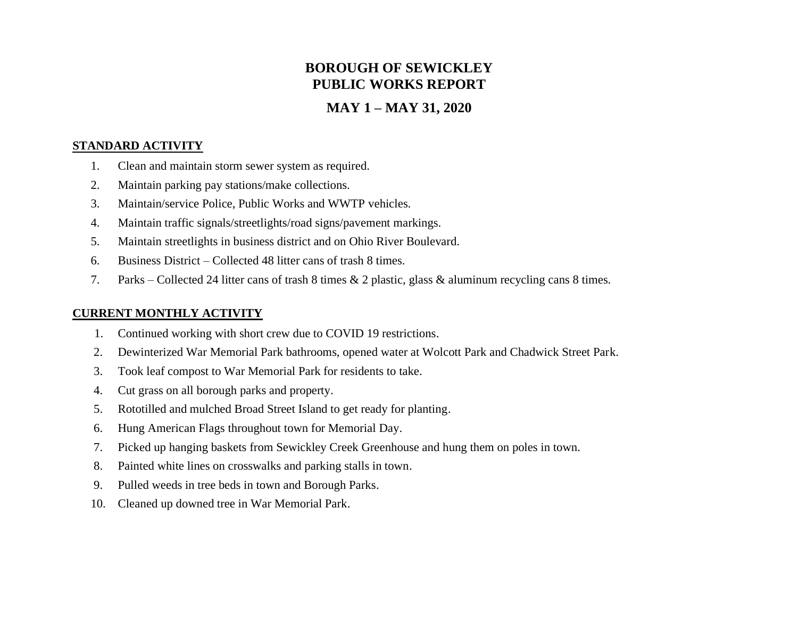# **BOROUGH OF SEWICKLEY PUBLIC WORKS REPORT**

## **MAY 1 – MAY 31, 2020**

#### **STANDARD ACTIVITY**

- 1. Clean and maintain storm sewer system as required.
- 2. Maintain parking pay stations/make collections.
- 3. Maintain/service Police, Public Works and WWTP vehicles.
- 4. Maintain traffic signals/streetlights/road signs/pavement markings.
- 5. Maintain streetlights in business district and on Ohio River Boulevard.
- 6. Business District Collected 48 litter cans of trash 8 times.
- 7. Parks Collected 24 litter cans of trash 8 times & 2 plastic, glass & aluminum recycling cans 8 times.

#### **CURRENT MONTHLY ACTIVITY**

- 1. Continued working with short crew due to COVID 19 restrictions.
- 2. Dewinterized War Memorial Park bathrooms, opened water at Wolcott Park and Chadwick Street Park.
- 3. Took leaf compost to War Memorial Park for residents to take.
- 4. Cut grass on all borough parks and property.
- 5. Rototilled and mulched Broad Street Island to get ready for planting.
- 6. Hung American Flags throughout town for Memorial Day.
- 7. Picked up hanging baskets from Sewickley Creek Greenhouse and hung them on poles in town.
- 8. Painted white lines on crosswalks and parking stalls in town.
- 9. Pulled weeds in tree beds in town and Borough Parks.
- 10. Cleaned up downed tree in War Memorial Park.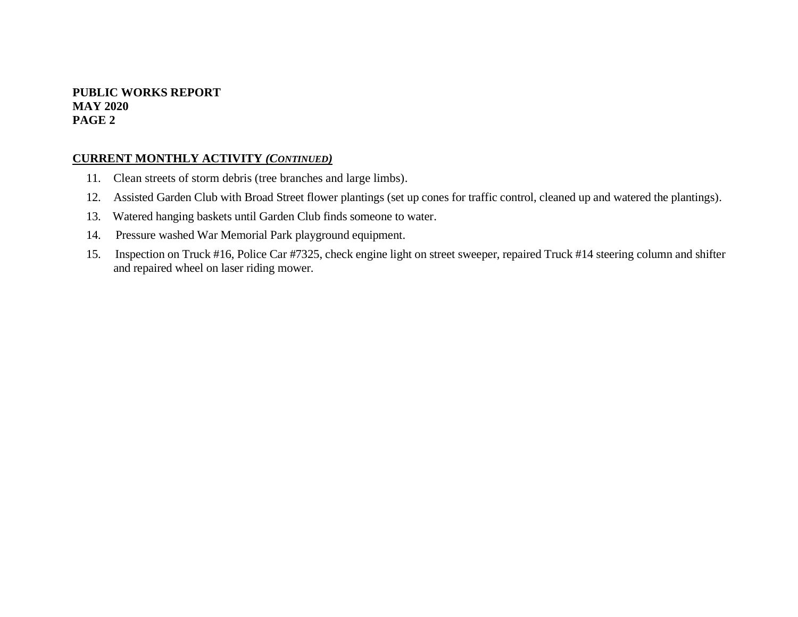#### **PUBLIC WORKS REPORT MAY 2020 PAGE 2**

#### **CURRENT MONTHLY ACTIVITY** *(CONTINUED)*

- 11. Clean streets of storm debris (tree branches and large limbs).
- 12. Assisted Garden Club with Broad Street flower plantings (set up cones for traffic control, cleaned up and watered the plantings).
- 13. Watered hanging baskets until Garden Club finds someone to water.
- 14. Pressure washed War Memorial Park playground equipment.
- 15. Inspection on Truck #16, Police Car #7325, check engine light on street sweeper, repaired Truck #14 steering column and shifter and repaired wheel on laser riding mower.